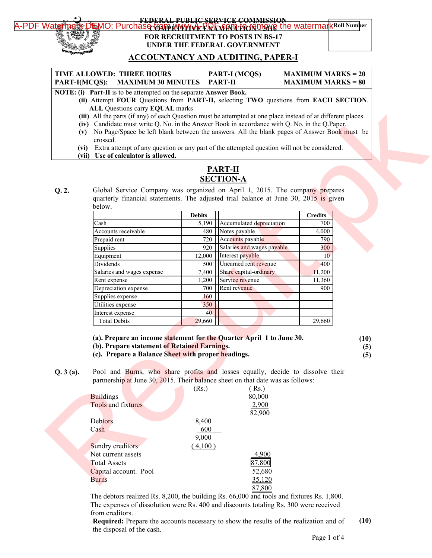### [A-PDF Watermark DEMO: Purchase from www.A-PDF.com to remove the watermark](http://www.a-pdf.com/?wm-demo) Roll Number **FEDERAL PUBLIC SERVICE COMMISSION FOR RECRUITMENT TO POSTS IN BS-17 UNDER THE FEDERAL GOVERNMENT**

### **ACCOUNTANCY AND AUDITING, PAPER-I**

| TIME ALLOWED: THREE HOURS                            | <b>PART-I (MCQS)</b> | $MAXIMUM MARKS = 20$ |
|------------------------------------------------------|----------------------|----------------------|
| <b>MAXIMUM 30 MINUTES   PART-II</b><br>PART-I(MCQS): |                      | $MAXIMUM MARKS = 80$ |

**NOTE: (i) Part-II** is to be attempted on the separate **Answer Book.**

- **(ii)** Attempt **FOUR** Questions from **PART-II,** selecting **TWO** questions from **EACH SECTION**. **ALL** Questions carry **EQUAL** marks
- **(iii)** All the parts (if any) of each Question must be attempted at one place instead of at different places.
- **(iv)** Candidate must write Q. No. in the Answer Book in accordance with Q. No. in the Q.Paper.
- **(v)** No Page/Space be left blank between the answers. All the blank pages of Answer Book must be crossed.
- **(vi)** Extra attempt of any question or any part of the attempted question will not be considered.
- **(vii) Use of calculator is allowed.**

# **PART-II SECTION-A**

| <b>PART-II</b><br><b>SECTION-A</b><br>Global Service Company was organized on April 1, 2015. The company prepares<br>quarterly financial statements. The adjusted trial balance at June 30, 2015 is given<br>below.<br><b>Debits</b><br><b>Credits</b><br>Accumulated depreciation<br>Cash<br>5,190<br>700<br>Notes payable<br>Accounts receivable<br>480<br>4,000<br>Accounts payable<br>Prepaid rent<br>720<br>790<br>Salaries and wages payable<br>Supplies<br>920<br>300<br>12,000<br>Interest payable<br>Equipment<br>10<br>Unearned rent revenue<br>Dividends<br>500<br>400<br>Salaries and wages expense<br>7,400<br>Share capital-ordinary<br>11,200<br>Service revenue<br>11,360<br>1,200<br>Rent expense<br>Rent revenue<br>Depreciation expense<br>700<br>900<br>Supplies expense<br>160 |
|-----------------------------------------------------------------------------------------------------------------------------------------------------------------------------------------------------------------------------------------------------------------------------------------------------------------------------------------------------------------------------------------------------------------------------------------------------------------------------------------------------------------------------------------------------------------------------------------------------------------------------------------------------------------------------------------------------------------------------------------------------------------------------------------------------|
|                                                                                                                                                                                                                                                                                                                                                                                                                                                                                                                                                                                                                                                                                                                                                                                                     |
|                                                                                                                                                                                                                                                                                                                                                                                                                                                                                                                                                                                                                                                                                                                                                                                                     |
|                                                                                                                                                                                                                                                                                                                                                                                                                                                                                                                                                                                                                                                                                                                                                                                                     |
|                                                                                                                                                                                                                                                                                                                                                                                                                                                                                                                                                                                                                                                                                                                                                                                                     |
|                                                                                                                                                                                                                                                                                                                                                                                                                                                                                                                                                                                                                                                                                                                                                                                                     |
|                                                                                                                                                                                                                                                                                                                                                                                                                                                                                                                                                                                                                                                                                                                                                                                                     |
|                                                                                                                                                                                                                                                                                                                                                                                                                                                                                                                                                                                                                                                                                                                                                                                                     |
|                                                                                                                                                                                                                                                                                                                                                                                                                                                                                                                                                                                                                                                                                                                                                                                                     |
|                                                                                                                                                                                                                                                                                                                                                                                                                                                                                                                                                                                                                                                                                                                                                                                                     |
|                                                                                                                                                                                                                                                                                                                                                                                                                                                                                                                                                                                                                                                                                                                                                                                                     |
|                                                                                                                                                                                                                                                                                                                                                                                                                                                                                                                                                                                                                                                                                                                                                                                                     |
|                                                                                                                                                                                                                                                                                                                                                                                                                                                                                                                                                                                                                                                                                                                                                                                                     |
|                                                                                                                                                                                                                                                                                                                                                                                                                                                                                                                                                                                                                                                                                                                                                                                                     |
| Utilities expense<br>350                                                                                                                                                                                                                                                                                                                                                                                                                                                                                                                                                                                                                                                                                                                                                                            |
| 40<br>Interest expense                                                                                                                                                                                                                                                                                                                                                                                                                                                                                                                                                                                                                                                                                                                                                                              |
| 29,660<br>29,660<br><b>Total Debits</b>                                                                                                                                                                                                                                                                                                                                                                                                                                                                                                                                                                                                                                                                                                                                                             |
| (a). Prepare an income statement for the Quarter April 1 to June 30.<br>(b). Prepare statement of Retained Earnings.<br>(c). Prepare a Balance Sheet with proper headings.                                                                                                                                                                                                                                                                                                                                                                                                                                                                                                                                                                                                                          |
| Pool and Burns, who share profits and losses equally, decide to dissolve their<br>partnership at June 30, 2015. Their balance sheet on that date was as follows:<br>(Rs.)<br>(Rs.)<br><b>Buildings</b><br>80,000<br>Tools and fixtures<br>2,900<br>82,900                                                                                                                                                                                                                                                                                                                                                                                                                                                                                                                                           |
|                                                                                                                                                                                                                                                                                                                                                                                                                                                                                                                                                                                                                                                                                                                                                                                                     |
| Debtors<br>8,400                                                                                                                                                                                                                                                                                                                                                                                                                                                                                                                                                                                                                                                                                                                                                                                    |
| 600<br>Cash                                                                                                                                                                                                                                                                                                                                                                                                                                                                                                                                                                                                                                                                                                                                                                                         |

- **(a). Prepare an income statement for the Quarter April 1 to June 30. (10)**
- **(b). Prepare statement of Retained Earnings.**

| $\mu$ partnership at sunce $\sigma$ , $\omega$ is. Then balance sheet on that date $\theta$ |         |        |
|---------------------------------------------------------------------------------------------|---------|--------|
|                                                                                             | (Rs.)   | (Rs.)  |
| <b>Buildings</b>                                                                            |         | 80,000 |
| Tools and fixtures                                                                          |         | 2,900  |
|                                                                                             |         | 82,900 |
| Debtors                                                                                     | 8,400   |        |
| Cash                                                                                        | 600     |        |
|                                                                                             | 9,000   |        |
| Sundry creditors                                                                            | (4,100) |        |
| Net current assets                                                                          |         | 4,900  |
| <b>Total Assets</b>                                                                         |         | 7.80   |
| Capital account. Pool                                                                       |         | 52,680 |
| <b>Burns</b>                                                                                |         | 35,120 |
|                                                                                             |         | 87.800 |

The debtors realized Rs. 8,200, the building Rs. 66,000 and tools and fixtures Rs. 1,800. The expenses of dissolution were Rs. 400 and discounts totaling Rs. 300 were received from creditors.

**Required:** Prepare the accounts necessary to show the results of the realization and of the disposal of the cash. **(10)**

Page 1 of 4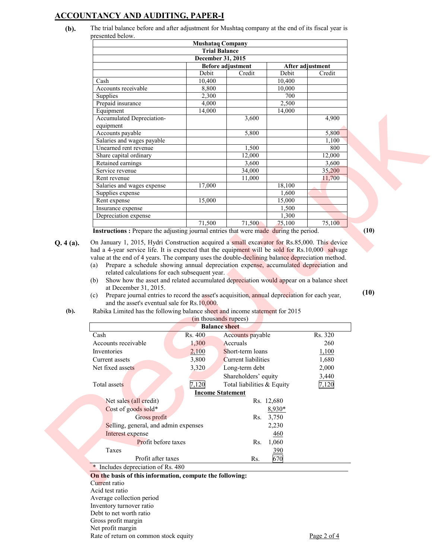## **ACCOUNTANCY AND AUDITING, PAPER-I**

**(b).** The trial balance before and after adjustment for Mushtaq company at the end of its fiscal year is presented below.

| <b>Mushatag Company</b>                      |                      |        |        |        |
|----------------------------------------------|----------------------|--------|--------|--------|
|                                              | <b>Trial Balance</b> |        |        |        |
|                                              | December 31, 2015    |        |        |        |
| <b>Before adjustment</b><br>After adjustment |                      |        |        |        |
|                                              | <b>Debit</b>         | Credit | Debit  | Credit |
| Cash                                         | 10,400               |        | 10,400 |        |
| Accounts receivable                          | 8,800                |        | 10,000 |        |
| Supplies                                     | 2,300                |        | 700    |        |
| Prepaid insurance                            | 4,000                |        | 2,500  |        |
| Equipment                                    | 14,000               |        | 14,000 |        |
| Accumulated Depreciation-                    |                      | 3,600  |        | 4,900  |
| equipment                                    |                      |        |        |        |
| Accounts payable                             |                      | 5,800  |        | 5,800  |
| Salaries and wages payable                   |                      |        |        | 1,100  |
| Unearned rent revenue                        |                      | 1,500  |        | 800    |
| Share capital ordinary                       |                      | 12,000 |        | 12,000 |
| Retained earnings                            |                      | 3,600  |        | 3,600  |
| Service revenue                              |                      | 34,000 |        | 35,200 |
| Rent revenue                                 |                      | 11,000 |        | 11,700 |
| Salaries and wages expense                   | 17,000               |        | 18,100 |        |
| Supplies expense                             |                      |        | 1,600  |        |
| Rent expense                                 | 15,000               |        | 15,000 |        |
| Insurance expense                            |                      |        | 1,500  |        |
| Depreciation expense                         |                      |        | 1,300  |        |
|                                              | 71,500               | 71,500 | 75,100 | 75,100 |

- (a) Prepare a schedule showing annual depreciation expense, accumulated depreciation and related calculations for each subsequent year.
- (b) Show how the asset and related accumulated depreciation would appear on a balance sheet at December 31, 2015.
- (c) Prepare journal entries to record the asset's acquisition, annual depreciation for each year, and the asset's eventual sale for Rs.10,000.

| Prepaid insurance                                                                                                                                                                                                                    | 4,000               |                            | 2,500      |         |      |
|--------------------------------------------------------------------------------------------------------------------------------------------------------------------------------------------------------------------------------------|---------------------|----------------------------|------------|---------|------|
| Equipment                                                                                                                                                                                                                            | 14,000              |                            | 14,000     |         |      |
| Accumulated Depreciation-                                                                                                                                                                                                            |                     | 3,600                      |            | 4,900   |      |
| equipment                                                                                                                                                                                                                            |                     |                            |            |         |      |
| Accounts payable                                                                                                                                                                                                                     |                     | 5,800                      |            | 5,800   |      |
| Salaries and wages payable                                                                                                                                                                                                           |                     |                            |            | 1,100   |      |
| Unearned rent revenue                                                                                                                                                                                                                |                     | 1,500                      |            | 800     |      |
| Share capital ordinary                                                                                                                                                                                                               |                     | 12,000                     |            | 12,000  |      |
| Retained earnings                                                                                                                                                                                                                    |                     | 3,600                      |            | 3,600   |      |
| Service revenue                                                                                                                                                                                                                      |                     | 34,000                     |            | 35,200  |      |
| Rent revenue                                                                                                                                                                                                                         |                     | 11,000                     |            | 11,700  |      |
| Salaries and wages expense                                                                                                                                                                                                           | 17,000              |                            | 18,100     |         |      |
| Supplies expense                                                                                                                                                                                                                     |                     |                            | 1,600      |         |      |
| Rent expense                                                                                                                                                                                                                         | 15,000              |                            | 15,000     |         |      |
| Insurance expense                                                                                                                                                                                                                    |                     |                            | 1,500      |         |      |
| Depreciation expense                                                                                                                                                                                                                 |                     |                            | 1,300      |         |      |
|                                                                                                                                                                                                                                      | 71,500              | 71,500                     | 75,100     | 75,100  |      |
| <b>Instructions</b> : Prepare the adjusting journal entries that were made during the period.                                                                                                                                        |                     |                            |            |         | (10) |
| Prepare journal entries to record the asset's acquisition, annual depreciation for each year,<br>(c)<br>and the asset's eventual sale for Rs.10,000.<br>Rabika Limited has the following balance sheet and income statement for 2015 |                     | (in thousands rupees)      |            |         |      |
|                                                                                                                                                                                                                                      |                     | <b>Balance</b> sheet       |            |         |      |
| Cash                                                                                                                                                                                                                                 | Rs. 400             | Accounts payable           |            | Rs. 320 |      |
| Accounts receivable                                                                                                                                                                                                                  | 1,300               | Accruals                   |            | 260     |      |
| Inventories                                                                                                                                                                                                                          | 2,100               | Short-term loans           |            | 1,100   |      |
| Current assets                                                                                                                                                                                                                       | 3,800               | <b>Current</b> liabilities |            | 1,680   |      |
| Net fixed assets                                                                                                                                                                                                                     | 3,320               | Long-term debt             |            | 2,000   |      |
|                                                                                                                                                                                                                                      |                     |                            |            |         |      |
|                                                                                                                                                                                                                                      |                     | Shareholders' equity       |            | 3,440   |      |
| Total assets                                                                                                                                                                                                                         | 7,120               | Total liabilities & Equity |            | 7,120   |      |
|                                                                                                                                                                                                                                      |                     | <b>Income Statement</b>    |            |         |      |
| Net sales (all credit)                                                                                                                                                                                                               |                     |                            | Rs. 12,680 |         |      |
| Cost of goods sold*                                                                                                                                                                                                                  |                     |                            | 8,930*     |         |      |
| Gross profit                                                                                                                                                                                                                         |                     |                            | Rs. 3,750  |         |      |
| Selling, general, and admin expenses                                                                                                                                                                                                 |                     |                            | 2,230      |         |      |
| Interest expense                                                                                                                                                                                                                     |                     |                            | 460        |         |      |
|                                                                                                                                                                                                                                      | Profit before taxes |                            | Rs. 1,060  |         |      |
| Taxes                                                                                                                                                                                                                                |                     |                            | <u>390</u> |         |      |
| Profit after taxes                                                                                                                                                                                                                   |                     | Rs.                        | 670        |         |      |
| * Includes depreciation of Rs. 480                                                                                                                                                                                                   |                     |                            |            |         |      |
| On the basis of this information, compute the following:                                                                                                                                                                             |                     |                            |            |         |      |
| Current ratio                                                                                                                                                                                                                        |                     |                            |            |         |      |
| Acid test ratio                                                                                                                                                                                                                      |                     |                            |            |         |      |
|                                                                                                                                                                                                                                      |                     |                            |            |         |      |

Average collection period Inventory turnover ratio Debt to net worth ratio Gross profit margin Net profit margin Rate of return on common stock equity Page 2 of 4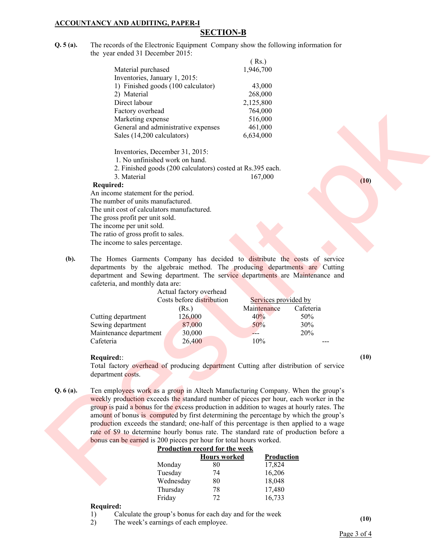### **ACCOUNTANCY AND AUDITING, PAPER-I**

## **SECTION-B**

**Q. 5 (a).** The records of the Electronic Equipment Company show the following information for the year ended 31 December 2015:  $(D<sub>e</sub>)$ 

|                                     | ( INS.)   |
|-------------------------------------|-----------|
| Material purchased                  | 1,946,700 |
| Inventories, January 1, 2015:       |           |
| 1) Finished goods (100 calculator)  | 43,000    |
| 2) Material                         | 268,000   |
| Direct labour                       | 2,125,800 |
| Factory overhead                    | 764,000   |
| Marketing expense                   | 516,000   |
| General and administrative expenses | 461,000   |
| Sales (14,200 calculators)          | 6,634,000 |
|                                     |           |

Inventories, December 31, 2015:

- 1. No unfinished work on hand.
- 2. Finished goods (200 calculators) costed at Rs.395 each. 3. Material 167,000

#### **Required:**

An income statement for the period. The number of units manufactured. The unit cost of calculators manufactured. The gross profit per unit sold. The income per unit sold. The ratio of gross profit to sales. The income to sales percentage.

**(b).** The Homes Garments Company has decided to distribute the costs of service departments by the algebraic method. The producing departments are Cutting department and Sewing department. The service departments are Maintenance and cafeteria, and monthly data are:

|                        | Actual factory overhead   |                      |           |
|------------------------|---------------------------|----------------------|-----------|
|                        | Costs before distribution | Services provided by |           |
|                        | (Rs.)                     | Maintenance          | Cafeteria |
| Cutting department     | 126,000                   | 40%                  | 50%       |
| Sewing department      | 87,000                    | 50%                  | 30%       |
| Maintenance department | 30,000                    |                      | 20%       |
| Cafeteria              | 26,400                    | 10%                  |           |
|                        |                           |                      |           |

#### **Required:**:

Total factory overhead of producing department Cutting after distribution of service department costs.

**Q. 6 (a).** Ten employees work as a group in Altech Manufacturing Company. When the group's weekly production exceeds the standard number of pieces per hour, each worker in the group is paid a bonus for the excess production in addition to wages at hourly rates. The amount of bonus is computed by first determining the percentage by which the group's production exceeds the standard; one-half of this percentage is then applied to a wage rate of \$9 to determine hourly bonus rate. The standard rate of production before a bonus can be earned is 200 pieces per hour for total hours worked. Direction<br>
Direction production and the state of the state of the state of the state of the state (a)<br>
because of the state of the state of the state of the state of the state of the state of the state of the state of the

#### **Production record for the week**

|           | <b>Hours worked</b> | Production |
|-----------|---------------------|------------|
| Monday    | 80                  | 17,824     |
| Tuesday   | 74                  | 16,206     |
| Wednesday | 80                  | 18,048     |
| Thursday  | 78                  | 17,480     |
| Friday    | 72                  | 16,733     |

#### **Required:**

1) Calculate the group's bonus for each day and for the week

2) The week's earnings of each employee. **(10)** 

**(10)**

**(10)**